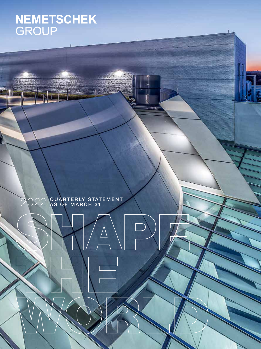# NEMETSCHEK<br>GROUP

2022 QUARTERLY STATEMENT AS OF MARCH 31

ń

T)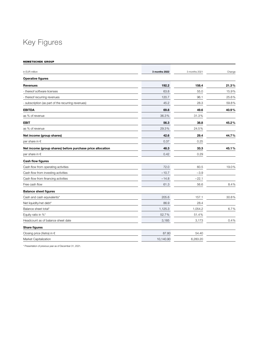## Key Figures

NEMETSCHEK GROUP

| in EUR million                                             | 3 months 2022 | 3 months 2021 | Change |
|------------------------------------------------------------|---------------|---------------|--------|
| <b>Operative figures</b>                                   |               |               |        |
| <b>Revenues</b>                                            | 192.2         | 158.4         | 21.3%  |
| - thereof software licenses                                | 63.8          | 55.0          | 15.9%  |
| - thereof recurring revenues                               | 120.7         | 96.1          | 25.6%  |
| - subscription (as part of the recurring revenues)         | 45.2          | 28.3          | 59.8%  |
| <b>EBITDA</b>                                              | 69.8          | 49.6          | 40.9%  |
| as % of revenue                                            | 36.3%         | 31.3%         |        |
| <b>EBIT</b>                                                | 56.3          | 38.8          | 45.2%  |
| as % of revenue                                            | 29.3%         | 24.5%         |        |
| Net income (group shares)                                  | 42.6          | 29.4          | 44.7%  |
| per share in €                                             | 0.37          | 0.25          |        |
| Net income (group shares) before purchase price allocation | 48.3          | 33.3          | 45.1%  |
| per share in $\epsilon$                                    | 0.42          | 0.29          |        |
| Cash flow figures                                          |               |               |        |
| Cash flow from operating activities                        | 72.0          | 60.5          | 19.0%  |
| Cash flow from investing activities                        | $-10.7$       | $-3.9$        |        |
| Cash flow from financing activities                        | $-14.8$       | $-22.1$       |        |
| Free cash flow                                             | 61.3          | 56.6          | 8.4%   |
| <b>Balance sheet figures</b>                               |               |               |        |
| Cash and cash equivalents*                                 | 205.6         | 157.1         | 30.8%  |
| Net liquidity/net debt*                                    | 86.9          | 28.4          |        |
| Balance sheet total*                                       | 1,125.3       | 1,054.2       | 6.7%   |
| Equity ratio in %*                                         | 52.7%         | 51.4%         |        |
| Headcount as of balance sheet date                         | 3,185         | 3,173         | 0.4%   |
| Share figures                                              |               |               |        |
| Closing price (Xetra) in €                                 | 87.80         | 54.40         |        |
| Market Capitalization                                      | 10,140.90     | 6,283.20      |        |
|                                                            |               |               |        |

\* Presentation of previous year as of December 31, 2021.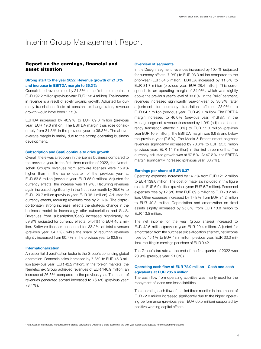## Interim Group Management Report

#### Report on the earnings, financial and asset situation

#### Strong start to the year 2022: Revenue growth of 21.3% and increase in EBITDA margin to 36.3%

Consolidated revenue rose by 21.3% in the first three months to EUR 192.2 million (previous year: EUR 158.4 million). The increase in revenue is a result of solely organic growth. Adjusted for currency translation effects at constant exchange rates, revenue growth would have been 17.5%.

EBITDA increased by 40.9 % to EUR 69.8 million (previous year: EUR 49.6 million). The EBITDA margin thus rose considerably from 31.3 % in the previous year to 36.3 % . The aboveaverage margin is mainly due to the strong operating business development.

#### Subscription and SaaS continue to drive growth

Overall, there was a recovery in the license business compared to the previous year. In the first three months of 2022, the Nemetschek Group's revenues from software licenses were 15.9% higher than in the same quarter of the previous year at EUR 63.8 million (previous year: EUR 55.0 million). Adjusted for currency effects, the increase was 11.9%. Recurring revenues again increased significantly in the first three month by 25.6% to EUR 120.7 million (previous year: EUR 96.1 million). Adjusted for currency effects, recurring revenues rose by 21.6%. The disproportionately strong increase reflects the strategic change in the business model to increasingly offer subscription and SaaS. Revenues from subscription/SaaS increased significantly by 59.8% (adjusted for currency effects: 54.4%) to EUR 45.2 million. Software licenses accounted for 33.2% of total revenues (previous year: 34.7%), while the share of recurring revenues slightly increased from 60.7% in the previous year to 62.8%.

#### Internationalization

An essential diversification factor is the Group's continuing global orientation. Domestic sales increased by 7.3% to EUR 45.3 million (previous year: EUR 42.2 million). In the foreign markets, the Nemetschek Group achieved revenues of EUR 146.9 million, an increase of 26.5% compared to the previous year. The share of revenues generated abroad increased to 76.4% (previous year: 73.4%).

#### Overview of segments

In the Design<sup>\*</sup> segment, revenues increased by 10.4% (adjusted for currency effects: 7.9%) to EUR 93.3 million compared to the prior-year (EUR 84.5 million). EBITDA increased by 11.8% to EUR 31.7 million (previous year: EUR 28.4 million). This corresponds to an operating margin of 34.0%, which was slightly above the previous year's level of 33.6%. In the Build\* segment, revenues increased significantly year-on-year by 30.3% (after adjustment for currency translation effects: 23.9%) to EUR 64.7 million (previous year: EUR 49.7 million). The EBITDA margin increased to 46.0% (previous year: 41.9%). In the Manage segment, revenues increased by 1.0% (adjusted for currency translation effects: 1.0%) to EUR 11.0 million (previous year EUR 10.9 million). The EBITDA margin was 6.6% and below the previous year (7.6%). The Media & Entertainment segment revenues significantly increased by 73.6% to EUR 25.5 million (previous year: EUR 14.7 million) in the first three months. The currency-adjusted growth was at 67.5%. At 47.2%, the EBITDA margin significantly increased (previous year: 33.7%).

#### Earnings per share at EUR 0.37

Operating expenses increased by 14.7% from EUR 121.2 million to EUR 139.0 million. The cost of materials included in this figure rose to EUR 6.9 million (previous year: EUR 6.7 million). Personnel expenses rose by 12.6% from EUR 69.5 million to EUR 78.2 million. Other expenses increased by 17.8% from EUR 34.2 million to EUR 40.3 million. Depreciation and amortization on fixed assets slightly increased by 25.3% from EUR 10.8 million to EUR 13.5 million.

The net income for the year (group shares) increased to EUR 42.6 million (previous year: EUR 29.4 million). Adjusted for amortization from the purchase price allocation after tax, net income rose by 45.1% to EUR 48.3 million (previous year: EUR 33.3 million), resulting in earnings per share of EUR 0.42.

The Group's tax rate at the end of the first quarter of 2022 was 20.9% (previous year: 21.0%).

#### Operating cash flow at EUR 72.0 million – Cash and cash eqivalents at EUR 205.6 million

The cash flow from operating activities was mainly used for the repayment of loans and lease liabilities.

The operating cash flow of the first three months in the amount of EUR 72.0 million increased significantly due to the higher operating performance (previous year: EUR 60.5 million) supported by positive working capital effects.

\* As a result of the strategic reorganization of brands between the Design and Build segments, the prior year figures were adjusted for comparability purposes.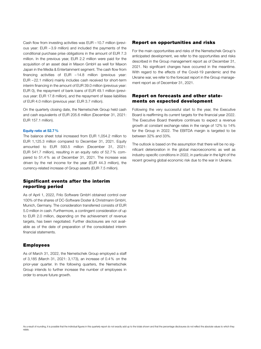Cash flow from investing activities was EUR –10.7 million (previous year: EUR –3.9 million) and included the payments of the conditional purchase prise obligations in the amount of EUR 7.3 million. In the previous year, EUR 2.2 million were paid for the acquisition of an asset deal in Maxon GmbH as well for Maxon Japan in the Media & Entertainment segment. The cash flow from financing activities of EUR –14.8 million (previous year: EUR –22.1 million) mainly includes cash received for short-term interim financing in the amount of EUR 39.0 million (previous year: EUR 0), the repayment of bank loans of EUR 49.1 million (previous year: EUR 17.8 million), and the repayment of lease liabilities of EUR 4.0 million (previous year: EUR 3.7 million).

On the quarterly closing date, the Nemetschek Group held cash and cash equivalents of EUR 205.6 million (December 31, 2021: EUR 157.1 million).

#### Equity ratio at 52.7%

The balance sheet total increased from EUR 1,054.2 million to EUR 1,125.3 million compared to December 31, 2021. Equity amounted to EUR 593.5 million (December 31, 2021: EUR 541.7 million), resulting in an equity ratio of 52.7% compared to 51.4% as of December 31, 2021. The increase was driven by the net income for the year (EUR 44.3 million), the currency-related increase of Group assets (EUR 7.5 million).

#### Significant events after the interim reporting period

As of April 1, 2022, Frilo Software GmbH obtained control over 100% of the shares of DC-Software Doster & Christmann GmbH, Munich, Germany. The consideration transferred consists of EUR 5.0 million in cash. Furthermore, a contingent consideration of up to EUR 2.0 million, depending on the achievement of revenue targets, has been negotiated. Further disclosures are not available as of the date of preparation of the consolidated interim financial statements.

#### Employees

As of March 31, 2022, the Nemetschek Group employed a staff of 3,185 (March 31, 2021: 3,173), an increase of 0.4% on the prior-year quarter. In the following quarters, the Nemetschek Group intends to further increase the number of employees in order to ensure future growth.

#### Report on opportunities and risks

For the main opportunities and risks of the Nemetschek Group's anticipated development, we refer to the opportunities and risks described in the Group management report as of December 31, 2021. No significant changes have occurred in the meantime. With regard to the effects of the Covid-19 pandemic and the Ukraine war, we refer to the forecast report in the Group management report as of December 31, 2021.

#### Report on forecasts and other statements on expected development

Following the very successful start to the year, the Executive Board is reaffirming its current targets for the financial year 2022. The Executive Board therefore continues to expect a revenue growth at constant exchange rates in the range of 12% to 14% for the Group in 2022. The EBITDA margin is targeted to be between 32% and 33%.

The outlook is based on the assumption that there will be no significant deterioration in the global macroeconomic as well as industry-specific conditions in 2022, in particular in the light of the recent growing global economic risk due to the war in Ukraine.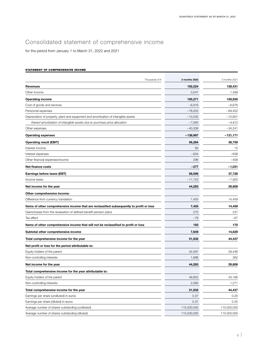## Consolidated statement of comprehensive income

for the period from January 1 to March 31, 2022 and 2021

#### STATEMENT OF COMPREHENSIVE INCOME

| Thousands of $\epsilon$                                                                  | 3 months 2022 | 3 months 2021 |
|------------------------------------------------------------------------------------------|---------------|---------------|
| <b>Revenues</b>                                                                          | 192,224       | 158,431       |
| Other income                                                                             | 3,047         | 1,499         |
| <b>Operating income</b>                                                                  | 195,271       | 159,930       |
| Cost of goods and services                                                               | $-6,916$      | $-6,676$      |
| Personnel expenses                                                                       | $-78,203$     | $-69,452$     |
| Depreciation of property, plant and equipment and amortization of intangible assets      | $-13,532$     | $-10,801$     |
| thereof amortization of intangible assets due to purchase price allocation               | $-7,083$      | $-4,912$      |
| Other expenses                                                                           | $-40,336$     | $-34,241$     |
| <b>Operating expenses</b>                                                                | $-138,987$    | $-121,171$    |
| <b>Operating result (EBIT)</b>                                                           | 56,284        | 38,759        |
| Interest income                                                                          | 60            | 15            |
| Interest expenses                                                                        | -634          | -638          |
| Other financial expenses/income                                                          | 296           | $-408$        |
| <b>Net finance costs</b>                                                                 | -277          | -1,031        |
| Earnings before taxes (EBT)                                                              | 56,006        | 37,728        |
| Income taxes                                                                             | $-11,723$     | $-7,920$      |
| Net income for the year                                                                  | 44,283        | 29,808        |
| Other comprehensive income:                                                              |               |               |
| Difference from currency translation                                                     | 7,455         | 14,459        |
| Items of other comprehensive income that are reclassified subsequently to profit or loss | 7,455         | 14,459        |
| Gains/losses from the revaluation of defined benefit pension plans                       | 270           | 237           |
| Tax effect                                                                               | -76           | $-67$         |
| Items of other comprehensive income that will not be reclassified to profit or loss      | 193           | 170           |
| Subtotal other comprehensive income                                                      | 7,649         | 14,629        |
| Total comprehensive income for the year                                                  | 51,932        | 44,437        |
| Net profit or loss for the period attributable to:                                       |               |               |
| Equity holders of the parent                                                             | 42,597        | 29,446        |
| Non-controlling interests                                                                | 1,686         | 362           |
| Net income for the year                                                                  | 44,283        | 29,808        |
| Total comprehensive income for the year attributable to:                                 |               |               |
| Equity holders of the parent                                                             | 49,852        | 43,166        |
| Non-controlling interests                                                                | 2,080         | 1,271         |
| Total comprehensive income for the year                                                  | 51,932        | 44,437        |
| Earnings per share (undiluted) in euros                                                  | 0.37          | 0.25          |
| Earnings per share (diluted) in euros                                                    | 0.37          | 0.25          |
| Average number of shares outstanding (undiluted)                                         | 115,500,000   | 115,500,000   |
| Average number of shares outstanding (diluted)                                           | 115,500,000   | 115,500,000   |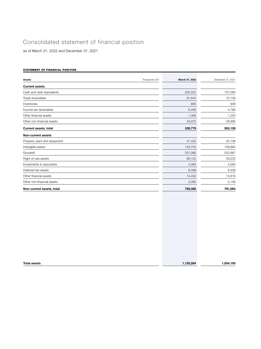## Consolidated statement of financial position

as of March 31, 2022 and December 31, 2021

#### STATEMENT OF FINANCIAL POSITION

| Thousands of $\in$<br><b>Assets</b> | March 31, 2022 | December 31, 2021 |
|-------------------------------------|----------------|-------------------|
| <b>Current assets</b>               |                |                   |
| Cash and cash equivalents           | 205,552        | 157,095           |
| Trade receivables                   | 81,643         | 70,108            |
| Inventories                         | 895            | 949               |
| Income tax receivables              | 6,408          | 4,766             |
| Other financial assets              | 1,306          | 1,220             |
| Other non-financial assets          | 33,975         | 28,990            |
| <b>Current assets, total</b>        | 329,779        | 263,128           |
| <b>Non-current assets</b>           |                |                   |
| Property, plant and equipment       | 21,452         | 20,736            |
| Intangible assets                   | 153,752        | 158,884           |
| Goodwill                            | 531,080        | 523,967           |
| Right-of-use assets                 | 60,123         | 59,233            |
| Investments in associates           | 4,063          | 4,063             |
| Deferred tax assets                 | 8,489          | 8,208             |
| Other financial assets              | 14,432         | 13,816            |
| Other non-financial assets          | 2,095          | 2,158             |
| Non-current assets, total           | 795,485        | 791,064           |
|                                     |                |                   |

| <b>Total assets</b> | .125.264 |          |
|---------------------|----------|----------|
|                     |          | ,054,193 |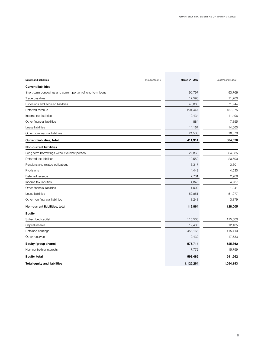| <b>Equity and liabilities</b>                                | Thousands of $\in$ | March 31, 2022 | December 31, 2021 |
|--------------------------------------------------------------|--------------------|----------------|-------------------|
| <b>Current liabilities</b>                                   |                    |                |                   |
| Short-term borrowings and current portion of long-term loans |                    | 90,797         | 93,766            |
| Trade payables                                               |                    | 12,590         | 11,260            |
| Provisions and accrued liabilities                           |                    | 48,063         | 71,744            |
| Deferred revenue                                             |                    | 201,447        | 157,975           |
| Income tax liabilities                                       |                    | 19,434         | 11,496            |
| Other financial liabilities                                  |                    | 884            | 7,355             |
| Lease liabilities                                            |                    | 14,167         | 14,060            |
| Other non-financial liabilities                              |                    | 24,533         | 16,870            |
| <b>Current liabilities, total</b>                            |                    | 411,914        | 384,526           |
| <b>Non-current liabilities</b>                               |                    |                |                   |
| Long-term borrowings without current portion                 |                    | 27,868         | 34,935            |
| Deferred tax liabilities                                     |                    | 19,559         | 20,590            |
| Pensions and related obligations                             |                    | 3,317          | 3,601             |
| Provisions                                                   |                    | 4,443          | 4,530             |
| Deferred revenue                                             |                    | 2,731          | 2,966             |
| Income tax liabilities                                       |                    | 4,845          | 4,787             |
| Other financial liabilities                                  |                    | 1,002          | 1,241             |
| Lease liabilities                                            |                    | 52,851         | 51,977            |
| Other non-financial liabilities                              |                    | 3,248          | 3,379             |
| Non-current liabilities, total                               |                    | 119,864        | 128,005           |
| <b>Equity</b>                                                |                    |                |                   |
| Subscribed capital                                           |                    | 115,500        | 115,500           |
| Capital reserve                                              |                    | 12,485         | 12,485            |
| Retained earnings                                            |                    | 458,168        | 415,410           |
| Other reserves                                               |                    | $-10,439$      | $-17,533$         |
| Equity (group shares)                                        |                    | 575,714        | 525,862           |
| Non-controlling interests                                    |                    | 17,772         | 15,799            |
| Equity, total                                                |                    | 593,486        | 541,662           |
| <b>Total equity and liabilities</b>                          |                    | 1,125,264      | 1,054,193         |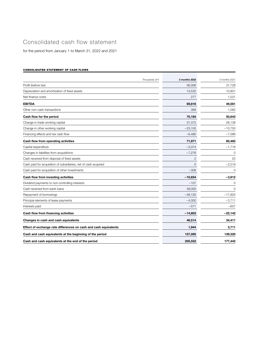### Consolidated cash flow statement

for the period from January 1 to March 31, 2022 and 2021

#### CONSOLIDATED STATEMENT OF CASH FLOWS

| Thousands of $\epsilon$                                          | 3 months 2022 | 3 months 2021 |
|------------------------------------------------------------------|---------------|---------------|
| Profit (before tax)                                              | 56,006        | 37,728        |
| Depreciation and amortization of fixed assets                    | 13,532        | 10,801        |
| Net finance costs                                                | 277           | 1,031         |
| <b>EBITDA</b>                                                    | 69,816        | 49,561        |
| Other non-cash transactions                                      | 369           | 1,082         |
| Cash flow for the period                                         | 70,184        | 50,643        |
| Change in trade working capital                                  | 31,372        | 28,138        |
| Change in other working capital                                  | $-23,105$     | $-10,750$     |
| Financing effects and tax cash flow                              | $-6,480$      | $-7,566$      |
| Cash flow from operating activities                              | 71,971        | 60,465        |
| Capital expenditure                                              | $-3,074$      | $-1,718$      |
| Changes in liabilities from acquisitions                         | $-7,276$      | 0             |
| Cash received from disposal of fixed assets                      | $\mathbf{2}$  | 25            |
| Cash paid for acquisition of subsidiaries, net of cash acquired  | 0             | $-2,219$      |
| Cash paid for acquisition of other investments                   | $-306$        | 0             |
| Cash flow from investing activities                              | $-10,654$     | $-3,912$      |
| Dividend payments to non-controlling interests                   | $-107$        | 0             |
| Cash received from bank loans                                    | 39,000        | 0             |
| Repayment of borrowings                                          | $-49,125$     | $-17,825$     |
| Principal elements of lease payments                             | $-4,000$      | $-3,711$      |
| Interests paid                                                   | $-571$        | $-607$        |
| Cash flow from financing activities                              | $-14,803$     | $-22,142$     |
| Changes in cash and cash equivalents                             | 46,514        | 34,411        |
| Effect of exchange rate differences on cash and cash equivalents | 1,944         | 3,711         |
| Cash and cash equivalents at the beginning of the period         | 157,095       | 139,320       |
| Cash and cash equivalents at the end of the period               | 205,552       | 177,442       |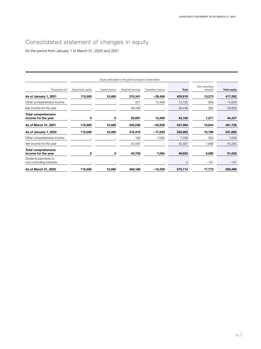## Consolidated statement of changes in equity

for the period from January 1 to March 31, 2022 and 2021

|                                                   |                    |                 | Equity attributable to the parent company's shareholders |                     |              |                              |                     |
|---------------------------------------------------|--------------------|-----------------|----------------------------------------------------------|---------------------|--------------|------------------------------|---------------------|
| Thousands of $\in$                                | Subscribed capital | Capital reserve | Retained earnings                                        | Translation reserve | <b>Total</b> | Non-controlling<br>interests | <b>Total equity</b> |
| As of January 1, 2021                             | 115,500            | 12,485          | 315,341                                                  | $-39,408$           | 403,919      | 13,373                       | 417,292             |
| Other comprehensive income                        |                    |                 | 251                                                      | 13,469              | 13,720       | 909                          | 14,629              |
| Net income for the year                           |                    |                 | 29,446                                                   |                     | 29,446       | 362                          | 29,808              |
| <b>Total comprehensive</b><br>income for the year | 0                  | 0               | 29,697                                                   | 13,469              | 43,166       | 1,271                        | 44,437              |
| As of March 31, 2021                              | 115,500            | 12,485          | 345,038                                                  | $-25,939$           | 447,084      | 14,644                       | 461,728             |
| As of January 1, 2022                             | 115,500            | 12,485          | 415,410                                                  | $-17,533$           | 525,862      | 15,799                       | 541,662             |
| Other comprehensive income                        |                    |                 | 162                                                      | 7,094               | 7,256        | 393                          | 7,649               |
| Net income for the year                           |                    |                 | 42,597                                                   |                     | 42,597       | 1,686                        | 44,283              |
| <b>Total comprehensive</b><br>income for the year | 0                  | 0               | 42,758                                                   | 7,094               | 49,852       | 2,080                        | 51,932              |
| Dividend payments to<br>non-controlling interests |                    |                 |                                                          |                     | 0            | $-107$                       | $-107$              |
| As of March 31, 2022                              | 115,500            | 12,485          | 458,168                                                  | $-10,439$           | 575,714      | 17,772                       | 593,486             |